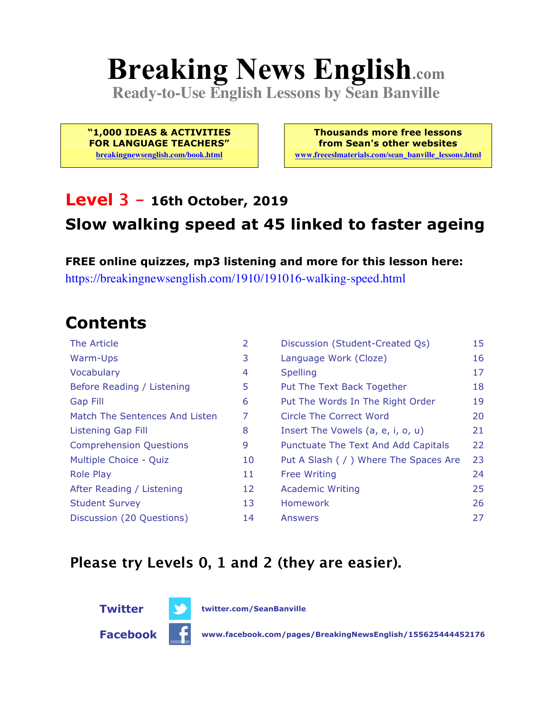# **Breaking News English.com**

**Ready-to-Use English Lessons by Sean Banville**

**"1,000 IDEAS & ACTIVITIES FOR LANGUAGE TEACHERS"**

**breakingnewsenglish.com/book.html**

**Thousands more free lessons from Sean's other websites www.freeeslmaterials.com/sean\_banville\_lessons.html**

#### **Level 3 - 16th October, 2019 Slow walking speed at 45 linked to faster ageing**

**FREE online quizzes, mp3 listening and more for this lesson here:** https://breakingnewsenglish.com/1910/191016-walking-speed.html

### **Contents**

| The Article                    | 2  | Discussion (Student-Created Qs)        | 15 |
|--------------------------------|----|----------------------------------------|----|
| Warm-Ups                       | 3  | Language Work (Cloze)                  | 16 |
| Vocabulary                     | 4  | <b>Spelling</b>                        | 17 |
| Before Reading / Listening     | 5  | Put The Text Back Together             | 18 |
| <b>Gap Fill</b>                | 6  | Put The Words In The Right Order       | 19 |
| Match The Sentences And Listen | 7  | Circle The Correct Word                | 20 |
| Listening Gap Fill             | 8  | Insert The Vowels (a, e, i, o, u)      | 21 |
| <b>Comprehension Questions</b> | 9  | Punctuate The Text And Add Capitals    | 22 |
| Multiple Choice - Quiz         | 10 | Put A Slash ( / ) Where The Spaces Are | 23 |
| <b>Role Play</b>               | 11 | <b>Free Writing</b>                    | 24 |
| After Reading / Listening      | 12 | <b>Academic Writing</b>                | 25 |
| <b>Student Survey</b>          | 13 | Homework                               | 26 |
| Discussion (20 Questions)      | 14 | Answers                                | 27 |

#### **Please try Levels 0, 1 and 2 (they are easier).**



**Twitter twitter.com/SeanBanville**

**Facebook www.facebook.com/pages/BreakingNewsEnglish/155625444452176**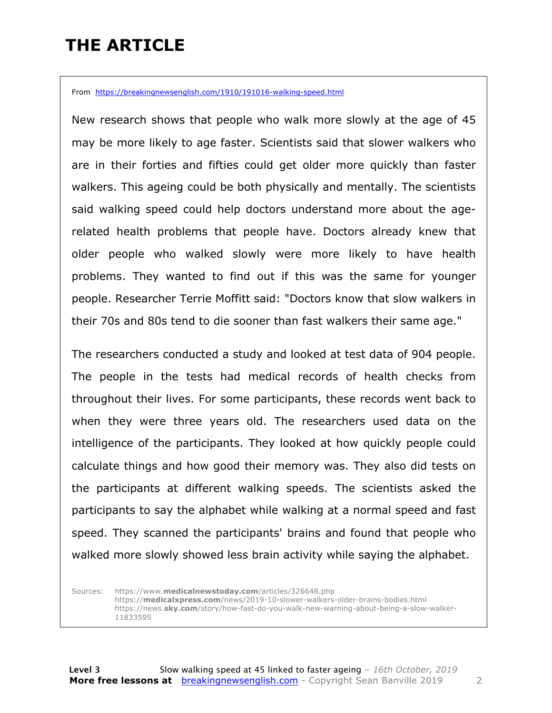### **THE ARTICLE**

From https://breakingnewsenglish.com/1910/191016-walking-speed.html

New research shows that people who walk more slowly at the age of 45 may be more likely to age faster. Scientists said that slower walkers who are in their forties and fifties could get older more quickly than faster walkers. This ageing could be both physically and mentally. The scientists said walking speed could help doctors understand more about the agerelated health problems that people have. Doctors already knew that older people who walked slowly were more likely to have health problems. They wanted to find out if this was the same for younger people. Researcher Terrie Moffitt said: "Doctors know that slow walkers in their 70s and 80s tend to die sooner than fast walkers their same age."

The researchers conducted a study and looked at test data of 904 people. The people in the tests had medical records of health checks from throughout their lives. For some participants, these records went back to when they were three years old. The researchers used data on the intelligence of the participants. They looked at how quickly people could calculate things and how good their memory was. They also did tests on the participants at different walking speeds. The scientists asked the participants to say the alphabet while walking at a normal speed and fast speed. They scanned the participants' brains and found that people who walked more slowly showed less brain activity while saying the alphabet.

Sources: https://www.**medicalnewstoday.com**/articles/326648.php https://**medicalxpress.com**/news/2019-10-slower-walkers-older-brains-bodies.html https://news.**sky.com**/story/how-fast-do-you-walk-new-warning-about-being-a-slow-walker-11833595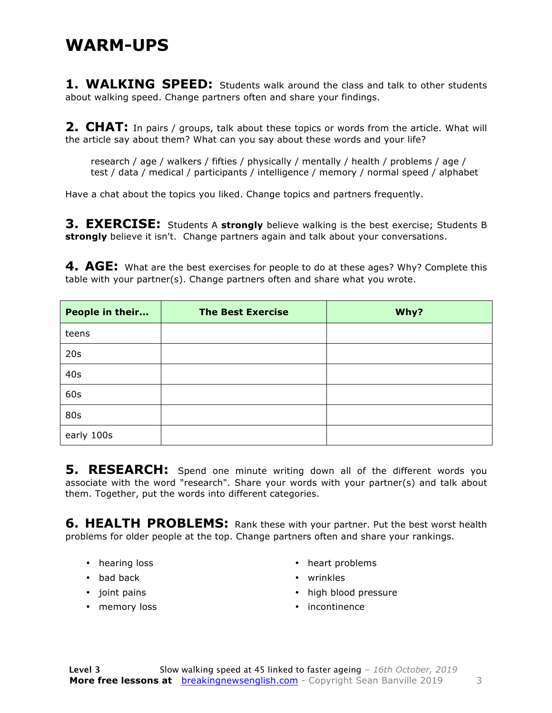#### **WARM-UPS**

**1. WALKING SPEED:** Students walk around the class and talk to other students about walking speed. Change partners often and share your findings.

**2. CHAT:** In pairs / groups, talk about these topics or words from the article. What will the article say about them? What can you say about these words and your life?

research / age / walkers / fifties / physically / mentally / health / problems / age / test / data / medical / participants / intelligence / memory / normal speed / alphabet

Have a chat about the topics you liked. Change topics and partners frequently.

**3. EXERCISE:** Students A **strongly** believe walking is the best exercise; Students B **strongly** believe it isn't. Change partners again and talk about your conversations.

**4. AGE:** What are the best exercises for people to do at these ages? Why? Complete this table with your partner(s). Change partners often and share what you wrote.

| People in their | <b>The Best Exercise</b> | Why? |
|-----------------|--------------------------|------|
| teens           |                          |      |
| 20s             |                          |      |
| 40s             |                          |      |
| 60s             |                          |      |
| 80s             |                          |      |
| early 100s      |                          |      |

**5. RESEARCH:** Spend one minute writing down all of the different words you associate with the word "research". Share your words with your partner(s) and talk about them. Together, put the words into different categories.

**6. HEALTH PROBLEMS:** Rank these with your partner. Put the best worst health problems for older people at the top. Change partners often and share your rankings.

- hearing loss
- bad back
- joint pains
- memory loss
- heart problems
- wrinkles
- high blood pressure
- incontinence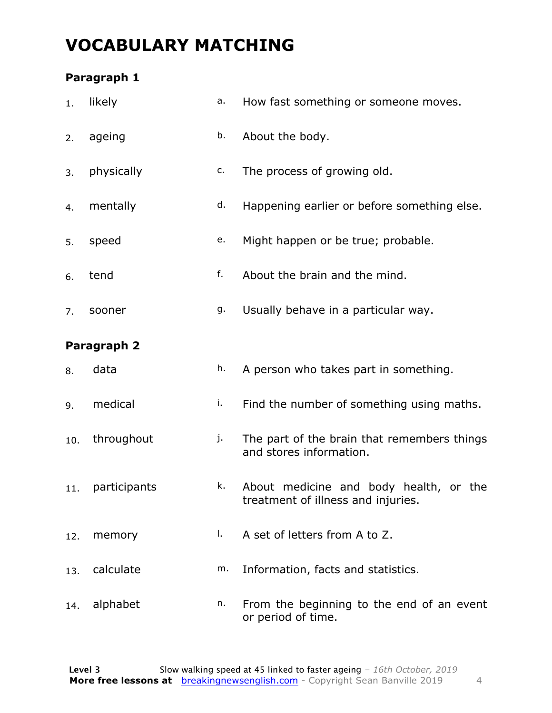### **VOCABULARY MATCHING**

#### **Paragraph 1**

| 1.  | likely       | a. | How fast something or someone moves.                                         |
|-----|--------------|----|------------------------------------------------------------------------------|
| 2.  | ageing       | b. | About the body.                                                              |
| 3.  | physically   | c. | The process of growing old.                                                  |
| 4.  | mentally     | d. | Happening earlier or before something else.                                  |
| 5.  | speed        | e. | Might happen or be true; probable.                                           |
| 6.  | tend         | f. | About the brain and the mind.                                                |
| 7.  | sooner       | g. | Usually behave in a particular way.                                          |
|     | Paragraph 2  |    |                                                                              |
| 8.  | data         | h. | A person who takes part in something.                                        |
| 9.  | medical      | i. | Find the number of something using maths.                                    |
| 10. | throughout   | j. | The part of the brain that remembers things<br>and stores information.       |
| 11. | participants | k. | About medicine and body health, or the<br>treatment of illness and injuries. |
| 12. | memory       | Ι. | A set of letters from A to Z.                                                |
| 13. | calculate    | m. | Information, facts and statistics.                                           |
| 14. | alphabet     | n. | From the beginning to the end of an event<br>or period of time.              |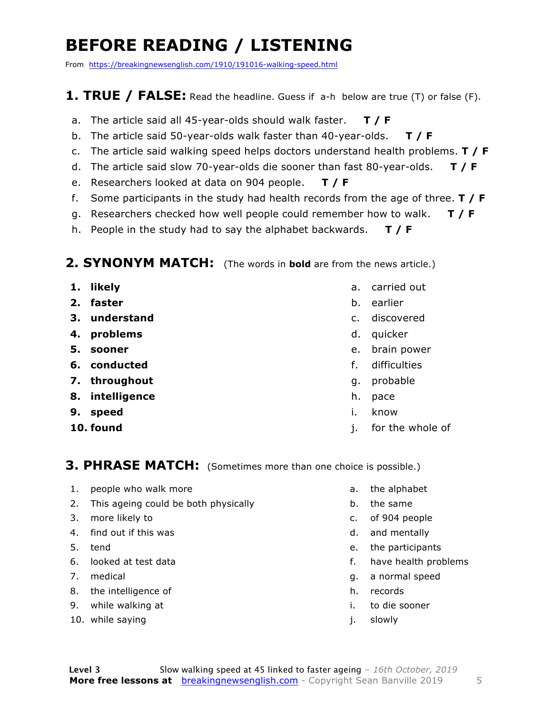### **BEFORE READING / LISTENING**

From https://breakingnewsenglish.com/1910/191016-walking-speed.html

#### **1. TRUE / FALSE:** Read the headline. Guess if a-h below are true (T) or false (F).

- a. The article said all 45-year-olds should walk faster. **T / F**
- b. The article said 50-year-olds walk faster than 40-year-olds. **T / F**
- c. The article said walking speed helps doctors understand health problems. **T / F**
- d. The article said slow 70-year-olds die sooner than fast 80-year-olds. **T / F**
- e. Researchers looked at data on 904 people. **T / F**
- f. Some participants in the study had health records from the age of three. **T / F**
- g. Researchers checked how well people could remember how to walk. **T / F**
- h. People in the study had to say the alphabet backwards. **T / F**

#### **2. SYNONYM MATCH:** (The words in **bold** are from the news article.)

- **1. likely**
- **2. faster**
- **3. understand**
- **4. problems**
- **5. sooner**
- **6. conducted**
- **7. throughout**
- **8. intelligence**
- **9. speed**
- **10. found**
- a. carried out
- b. earlier
- c. discovered
- d. quicker
- e. brain power
- f. difficulties
- g. probable
- h. pace
- i. know
- j. for the whole of

#### **3. PHRASE MATCH:** (Sometimes more than one choice is possible.)

- 1. people who walk more
- 2. This ageing could be both physically
- 3. more likely to
- 4. find out if this was
- 5. tend
- 6. looked at test data
- 7. medical
- 8. the intelligence of
- 9. while walking at
- 10. while saying
- a. the alphabet
- b. the same
- c. of 904 people
- d. and mentally
- e. the participants
- f. have health problems
- g. a normal speed
- h. records
- i. to die sooner
- j. slowly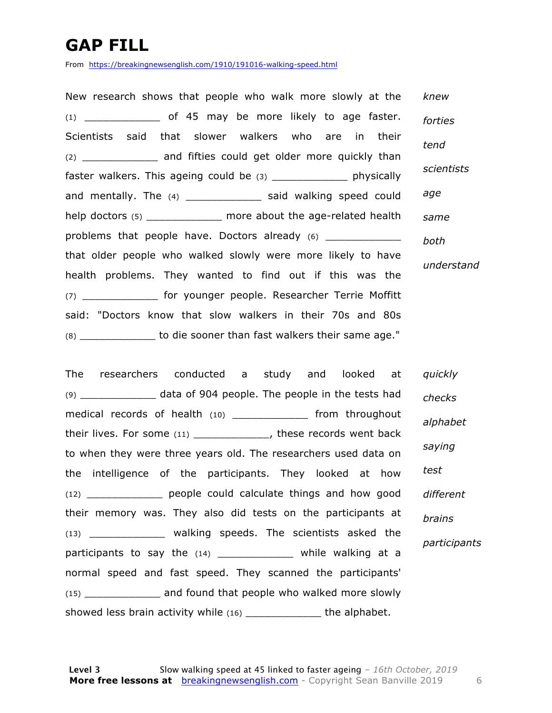### **GAP FILL**

From https://breakingnewsenglish.com/1910/191016-walking-speed.html

New research shows that people who walk more slowly at the  $(1)$  \_\_\_\_\_\_\_\_\_\_\_\_\_\_\_ of 45 may be more likely to age faster. Scientists said that slower walkers who are in their (2) \_\_\_\_\_\_\_\_\_\_\_\_ and fifties could get older more quickly than faster walkers. This ageing could be (3) \_\_\_\_\_\_\_\_\_\_\_\_ physically and mentally. The (4) \_\_\_\_\_\_\_\_\_\_\_\_\_\_\_ said walking speed could help doctors (5) \_\_\_\_\_\_\_\_\_\_\_\_ more about the age-related health problems that people have. Doctors already (6) \_\_\_\_\_\_\_\_\_\_\_\_ that older people who walked slowly were more likely to have health problems. They wanted to find out if this was the (7) \_\_\_\_\_\_\_\_\_\_\_\_ for younger people. Researcher Terrie Moffitt said: "Doctors know that slow walkers in their 70s and 80s (8) \_\_\_\_\_\_\_\_\_\_\_\_ to die sooner than fast walkers their same age." *knew forties tend scientists age same both understand*

The researchers conducted a study and looked at  $(9)$  \_\_\_\_\_\_\_\_\_\_\_\_\_\_\_\_\_ data of 904 people. The people in the tests had medical records of health (10) \_\_\_\_\_\_\_\_\_\_\_\_ from throughout their lives. For some (11) \_\_\_\_\_\_\_\_\_\_\_\_, these records went back to when they were three years old. The researchers used data on the intelligence of the participants. They looked at how (12) \_\_\_\_\_\_\_\_\_\_\_\_ people could calculate things and how good their memory was. They also did tests on the participants at (13) \_\_\_\_\_\_\_\_\_\_\_\_ walking speeds. The scientists asked the participants to say the (14) \_\_\_\_\_\_\_\_\_\_\_\_ while walking at a normal speed and fast speed. They scanned the participants' (15) \_\_\_\_\_\_\_\_\_\_\_\_ and found that people who walked more slowly showed less brain activity while (16) \_\_\_\_\_\_\_\_\_\_\_\_\_\_\_ the alphabet. *quickly checks alphabet saying test different brains participants*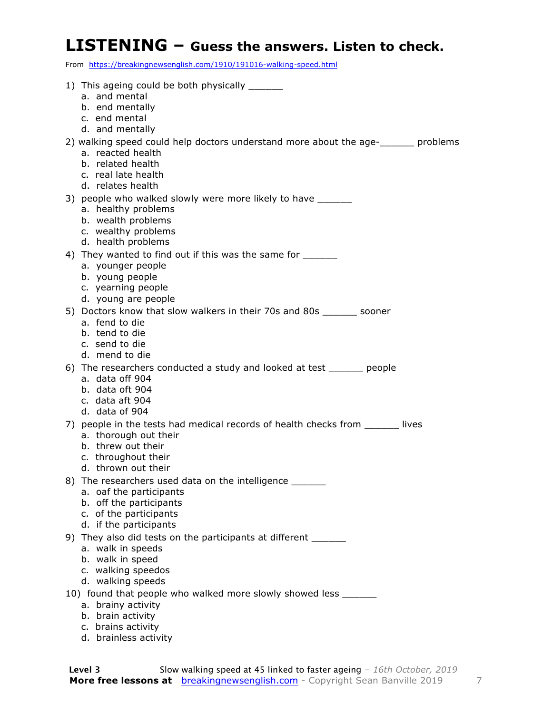#### **LISTENING – Guess the answers. Listen to check.**

From https://breakingnewsenglish.com/1910/191016-walking-speed.html

| 1) This ageing could be both physically _______<br>a. and mental                                                                                 |
|--------------------------------------------------------------------------------------------------------------------------------------------------|
| b. end mentally<br>c. end mental<br>d. and mentally                                                                                              |
| 2) walking speed could help doctors understand more about the age- sum problems<br>a. reacted health<br>b. related health<br>c. real late health |
| d. relates health<br>3) people who walked slowly were more likely to have _______                                                                |
| a. healthy problems<br>b. wealth problems<br>c. wealthy problems<br>d. health problems                                                           |
| 4) They wanted to find out if this was the same for _______                                                                                      |
| a. younger people                                                                                                                                |
| b. young people<br>c. yearning people                                                                                                            |
| d. young are people                                                                                                                              |
| 5) Doctors know that slow walkers in their 70s and 80s ______ sooner<br>a. fend to die                                                           |
| b. tend to die<br>c. send to die                                                                                                                 |
| d. mend to die                                                                                                                                   |
| 6) The researchers conducted a study and looked at test ______ people                                                                            |
| a. data off 904<br>b. data oft 904                                                                                                               |
| c. data aft 904                                                                                                                                  |
| d. data of 904                                                                                                                                   |
| 7) people in the tests had medical records of health checks from _______ lives<br>a. thorough out their                                          |
| b. threw out their                                                                                                                               |
| c. throughout their                                                                                                                              |
| d. thrown out their<br>8) The researchers used data on the intelligence ______                                                                   |
| a. oaf the participants                                                                                                                          |
| b. off the participants                                                                                                                          |
| c. of the participants<br>d. if the participants                                                                                                 |
| 9) They also did tests on the participants at different ______                                                                                   |
| a. walk in speeds                                                                                                                                |
| b. walk in speed                                                                                                                                 |
| c. walking speedos<br>d. walking speeds                                                                                                          |
| 10) found that people who walked more slowly showed less ______                                                                                  |
| a. brainy activity                                                                                                                               |
| b. brain activity                                                                                                                                |
| c. brains activity                                                                                                                               |

d. brainless activity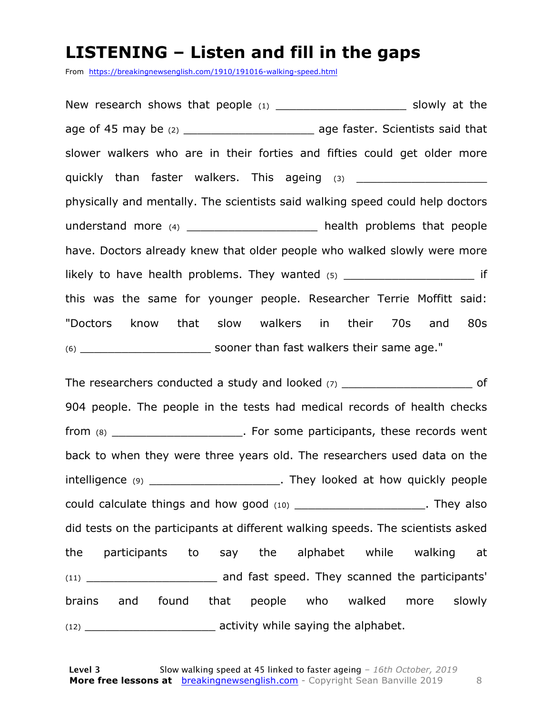#### **LISTENING – Listen and fill in the gaps**

From https://breakingnewsenglish.com/1910/191016-walking-speed.html

New research shows that people (1) \_\_\_\_\_\_\_\_\_\_\_\_\_\_\_\_\_\_\_\_\_\_\_\_\_ slowly at the age of 45 may be (2) age faster. Scientists said that slower walkers who are in their forties and fifties could get older more quickly than faster walkers. This ageing (3) \_\_\_\_\_\_\_\_\_\_\_\_\_\_\_\_\_\_\_ physically and mentally. The scientists said walking speed could help doctors understand more (4) and the health problems that people have. Doctors already knew that older people who walked slowly were more likely to have health problems. They wanted (5) The controller was settled if this was the same for younger people. Researcher Terrie Moffitt said: "Doctors know that slow walkers in their 70s and 80s (6) \_\_\_\_\_\_\_\_\_\_\_\_\_\_\_\_\_\_\_ sooner than fast walkers their same age."

The researchers conducted a study and looked  $(7)$  and  $(7)$ 904 people. The people in the tests had medical records of health checks from (8) The contract of the some participants, these records went back to when they were three years old. The researchers used data on the intelligence (9) \_\_\_\_\_\_\_\_\_\_\_\_\_\_\_\_\_\_\_\_\_\_\_\_\_. They looked at how quickly people could calculate things and how good (10) example the could calculate things and how good (10) did tests on the participants at different walking speeds. The scientists asked the participants to say the alphabet while walking at (11) \_\_\_\_\_\_\_\_\_\_\_\_\_\_\_\_\_\_\_ and fast speed. They scanned the participants' brains and found that people who walked more slowly (12) \_\_\_\_\_\_\_\_\_\_\_\_\_\_\_\_\_\_\_ activity while saying the alphabet.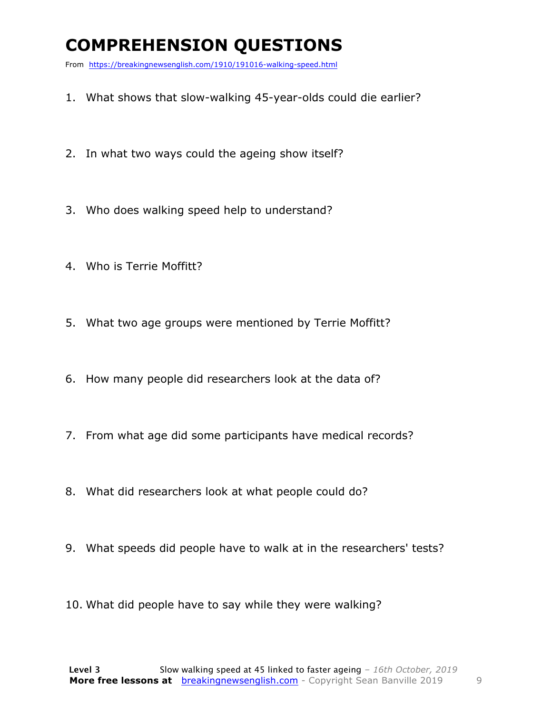### **COMPREHENSION QUESTIONS**

From https://breakingnewsenglish.com/1910/191016-walking-speed.html

- 1. What shows that slow-walking 45-year-olds could die earlier?
- 2. In what two ways could the ageing show itself?
- 3. Who does walking speed help to understand?
- 4. Who is Terrie Moffitt?
- 5. What two age groups were mentioned by Terrie Moffitt?
- 6. How many people did researchers look at the data of?
- 7. From what age did some participants have medical records?
- 8. What did researchers look at what people could do?
- 9. What speeds did people have to walk at in the researchers' tests?
- 10. What did people have to say while they were walking?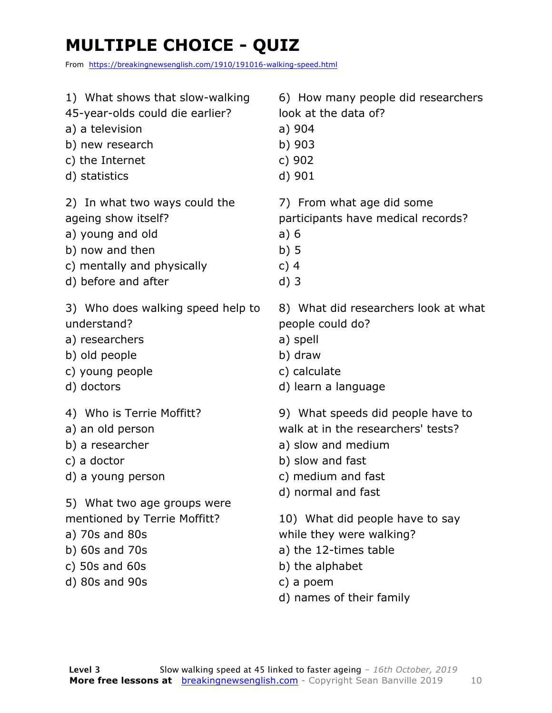### **MULTIPLE CHOICE - QUIZ**

From https://breakingnewsenglish.com/1910/191016-walking-speed.html

| 1) What shows that slow-walking                                                                              | 6) How many people did researchers                                                                                                               |
|--------------------------------------------------------------------------------------------------------------|--------------------------------------------------------------------------------------------------------------------------------------------------|
| 45-year-olds could die earlier?                                                                              | look at the data of?                                                                                                                             |
| a) a television                                                                                              | a) 904                                                                                                                                           |
| b) new research                                                                                              | b) 903                                                                                                                                           |
| c) the Internet                                                                                              | c) 902                                                                                                                                           |
| d) statistics                                                                                                | d) 901                                                                                                                                           |
| 2) In what two ways could the                                                                                | 7) From what age did some                                                                                                                        |
| ageing show itself?                                                                                          | participants have medical records?                                                                                                               |
| a) young and old                                                                                             | a)6                                                                                                                                              |
| b) now and then                                                                                              | b)5                                                                                                                                              |
| c) mentally and physically                                                                                   | c) $4$                                                                                                                                           |
| d) before and after                                                                                          | $d)$ 3                                                                                                                                           |
| 3) Who does walking speed help to                                                                            | 8) What did researchers look at what                                                                                                             |
| understand?                                                                                                  | people could do?                                                                                                                                 |
| a) researchers                                                                                               | a) spell                                                                                                                                         |
| b) old people                                                                                                | b) draw                                                                                                                                          |
| c) young people                                                                                              | c) calculate                                                                                                                                     |
| d) doctors                                                                                                   | d) learn a language                                                                                                                              |
| 4) Who is Terrie Moffitt?                                                                                    | 9) What speeds did people have to                                                                                                                |
| a) an old person                                                                                             | walk at in the researchers' tests?                                                                                                               |
| b) a researcher                                                                                              | a) slow and medium                                                                                                                               |
| c) a doctor                                                                                                  | b) slow and fast                                                                                                                                 |
| d) a young person                                                                                            | c) medium and fast                                                                                                                               |
| 5) What two age groups were                                                                                  | d) normal and fast                                                                                                                               |
| mentioned by Terrie Moffitt?<br>a) 70s and 80s<br>b) $60s$ and $70s$<br>c) $50s$ and $60s$<br>d) 80s and 90s | 10) What did people have to say<br>while they were walking?<br>a) the 12-times table<br>b) the alphabet<br>c) a poem<br>d) names of their family |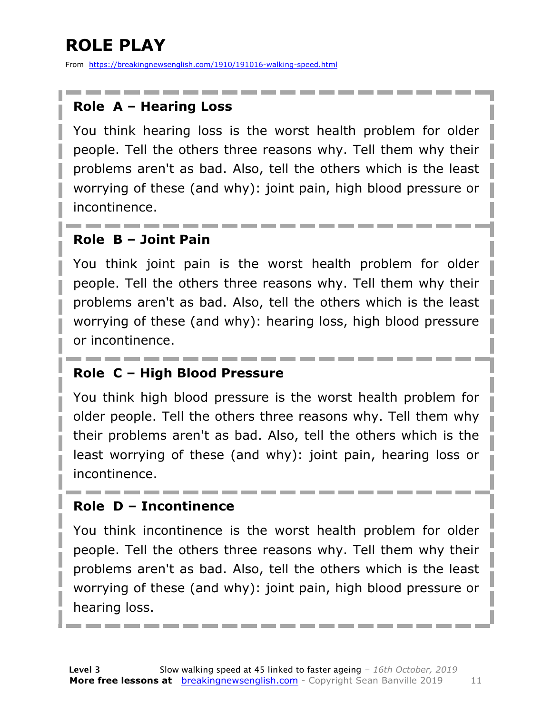### **ROLE PLAY**

From https://breakingnewsenglish.com/1910/191016-walking-speed.html

#### **Role A – Hearing Loss**

You think hearing loss is the worst health problem for older people. Tell the others three reasons why. Tell them why their problems aren't as bad. Also, tell the others which is the least worrying of these (and why): joint pain, high blood pressure or incontinence.

#### **Role B – Joint Pain**

You think joint pain is the worst health problem for older people. Tell the others three reasons why. Tell them why their problems aren't as bad. Also, tell the others which is the least worrying of these (and why): hearing loss, high blood pressure or incontinence.

#### **Role C – High Blood Pressure**

You think high blood pressure is the worst health problem for older people. Tell the others three reasons why. Tell them why their problems aren't as bad. Also, tell the others which is the least worrying of these (and why): joint pain, hearing loss or incontinence.

#### **Role D – Incontinence**

You think incontinence is the worst health problem for older people. Tell the others three reasons why. Tell them why their problems aren't as bad. Also, tell the others which is the least worrying of these (and why): joint pain, high blood pressure or hearing loss.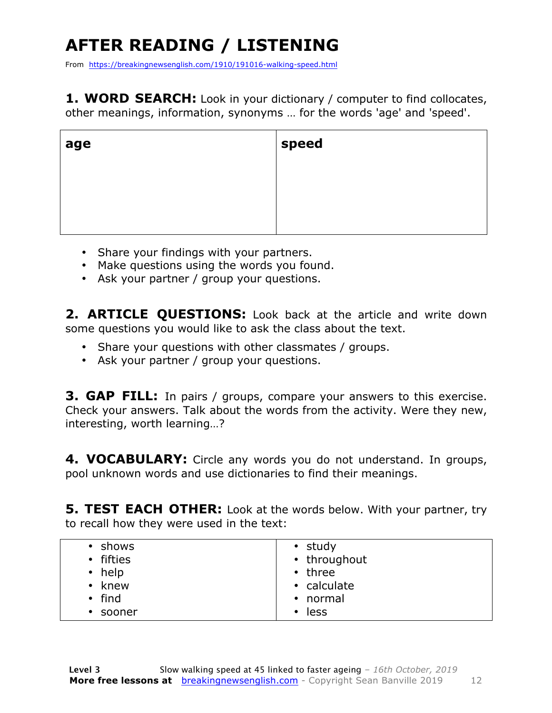## **AFTER READING / LISTENING**

From https://breakingnewsenglish.com/1910/191016-walking-speed.html

1. WORD SEARCH: Look in your dictionary / computer to find collocates, other meanings, information, synonyms … for the words 'age' and 'speed'.

| age | speed |
|-----|-------|
|     |       |
|     |       |
|     |       |

- Share your findings with your partners.
- Make questions using the words you found.
- Ask your partner / group your questions.

2. **ARTICLE OUESTIONS:** Look back at the article and write down some questions you would like to ask the class about the text.

- Share your questions with other classmates / groups.
- Ask your partner / group your questions.

**3. GAP FILL:** In pairs / groups, compare your answers to this exercise. Check your answers. Talk about the words from the activity. Were they new, interesting, worth learning…?

4. VOCABULARY: Circle any words you do not understand. In groups, pool unknown words and use dictionaries to find their meanings.

**5. TEST EACH OTHER:** Look at the words below. With your partner, try to recall how they were used in the text:

| • shows<br>• fifties<br>$\cdot$ help<br>• knew<br>$\cdot$ find<br>• sooner | • study<br>• throughout<br>$\cdot$ three<br>• calculate<br>• normal<br>less<br>$\bullet$ |
|----------------------------------------------------------------------------|------------------------------------------------------------------------------------------|
|----------------------------------------------------------------------------|------------------------------------------------------------------------------------------|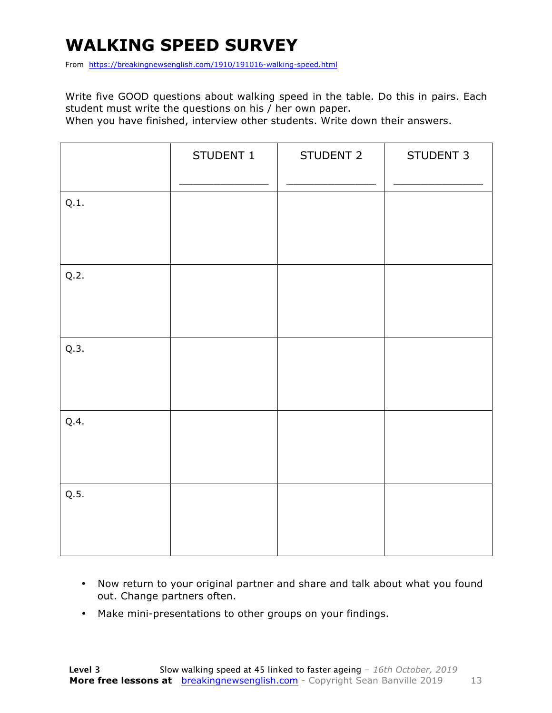### **WALKING SPEED SURVEY**

From https://breakingnewsenglish.com/1910/191016-walking-speed.html

Write five GOOD questions about walking speed in the table. Do this in pairs. Each student must write the questions on his / her own paper.

When you have finished, interview other students. Write down their answers.

|      | STUDENT 1 | STUDENT 2 | STUDENT 3 |
|------|-----------|-----------|-----------|
| Q.1. |           |           |           |
| Q.2. |           |           |           |
| Q.3. |           |           |           |
| Q.4. |           |           |           |
| Q.5. |           |           |           |

- Now return to your original partner and share and talk about what you found out. Change partners often.
- Make mini-presentations to other groups on your findings.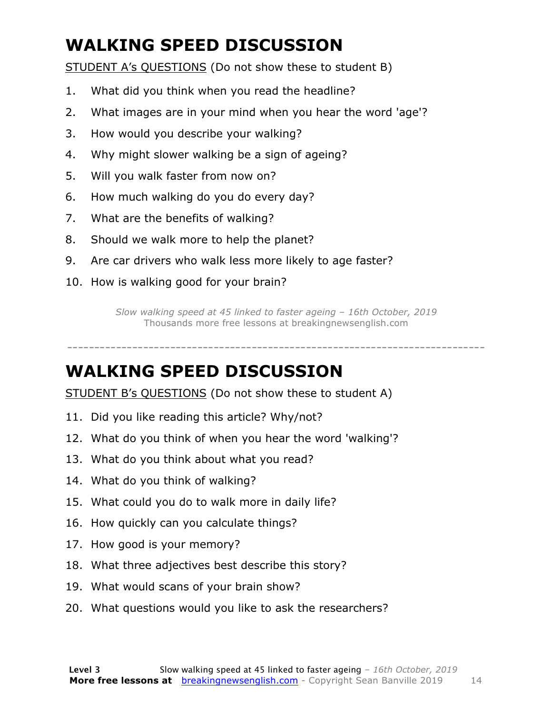### **WALKING SPEED DISCUSSION**

STUDENT A's QUESTIONS (Do not show these to student B)

- 1. What did you think when you read the headline?
- 2. What images are in your mind when you hear the word 'age'?
- 3. How would you describe your walking?
- 4. Why might slower walking be a sign of ageing?
- 5. Will you walk faster from now on?
- 6. How much walking do you do every day?
- 7. What are the benefits of walking?
- 8. Should we walk more to help the planet?
- 9. Are car drivers who walk less more likely to age faster?
- 10. How is walking good for your brain?

*Slow walking speed at 45 linked to faster ageing – 16th October, 2019* Thousands more free lessons at breakingnewsenglish.com

-----------------------------------------------------------------------------

#### **WALKING SPEED DISCUSSION**

STUDENT B's QUESTIONS (Do not show these to student A)

- 11. Did you like reading this article? Why/not?
- 12. What do you think of when you hear the word 'walking'?
- 13. What do you think about what you read?
- 14. What do you think of walking?
- 15. What could you do to walk more in daily life?
- 16. How quickly can you calculate things?
- 17. How good is your memory?
- 18. What three adjectives best describe this story?
- 19. What would scans of your brain show?
- 20. What questions would you like to ask the researchers?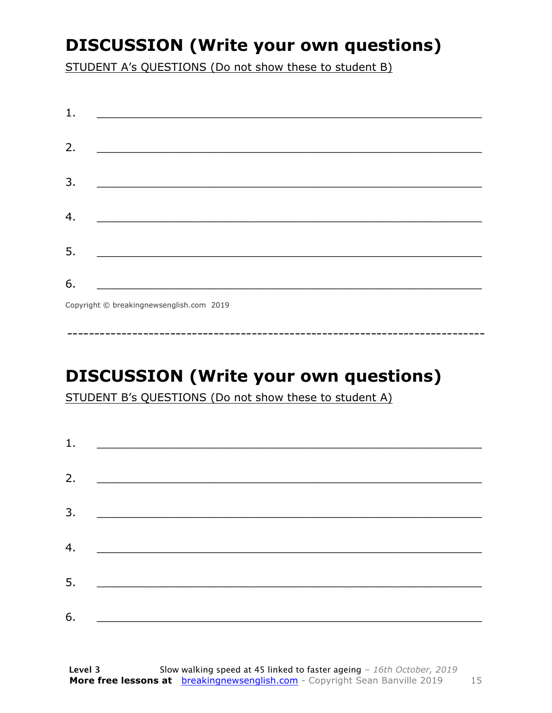### **DISCUSSION (Write your own questions)**

STUDENT A's QUESTIONS (Do not show these to student B)

| 1. |                                           |
|----|-------------------------------------------|
|    |                                           |
| 2. |                                           |
|    |                                           |
| 3. |                                           |
|    |                                           |
| 4. |                                           |
|    |                                           |
| 5. |                                           |
|    |                                           |
| 6. |                                           |
|    | Convright © breaking newsenglish com 2019 |

Copyright © breakingnewsenglish.com 2019

### **DISCUSSION (Write your own questions)**

STUDENT B's QUESTIONS (Do not show these to student A)

| 1. |                                                                                                                         |  |  |
|----|-------------------------------------------------------------------------------------------------------------------------|--|--|
|    |                                                                                                                         |  |  |
| 2. | <u> 1980 - Antonio Alemania, prima prestava postala de la provincia de la provincia de la provincia de la provincia</u> |  |  |
| 3. | <u> 1980 - Andrea Andrew Maria (h. 1980).</u>                                                                           |  |  |
|    |                                                                                                                         |  |  |
| 4. | <u> 1980 - Jan Barbara Barat, martin da basar da basar da basar da basar da basar da basar da basar da basar da b</u>   |  |  |
| 5. | <u> 1986 - Johann Stoff, deutscher Stoff und der Stoff und der Stoff und der Stoff und der Stoff und der Stoff und</u>  |  |  |
|    |                                                                                                                         |  |  |
| 6. |                                                                                                                         |  |  |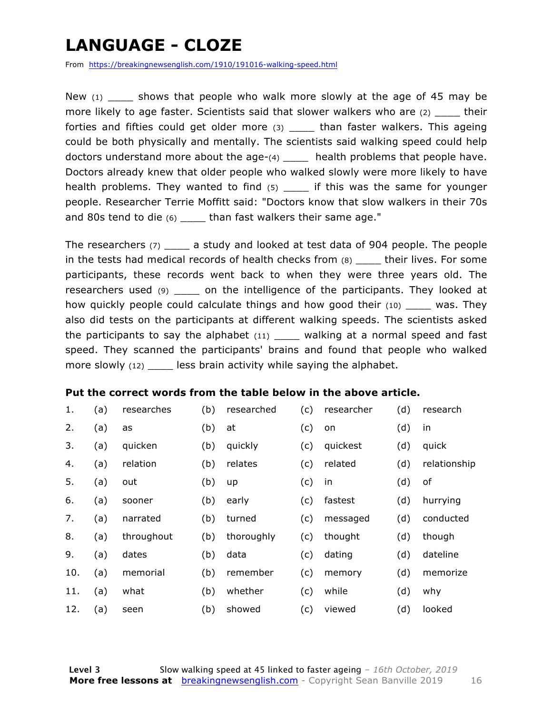### **LANGUAGE - CLOZE**

From https://breakingnewsenglish.com/1910/191016-walking-speed.html

New  $(1)$  shows that people who walk more slowly at the age of 45 may be more likely to age faster. Scientists said that slower walkers who are  $(2)$  \_\_\_\_\_ their forties and fifties could get older more (3) \_\_\_\_ than faster walkers. This ageing could be both physically and mentally. The scientists said walking speed could help doctors understand more about the age- $(4)$  \_\_\_\_ health problems that people have. Doctors already knew that older people who walked slowly were more likely to have health problems. They wanted to find  $(5)$  if this was the same for younger people. Researcher Terrie Moffitt said: "Doctors know that slow walkers in their 70s and 80s tend to die (6) \_\_\_\_ than fast walkers their same age."

The researchers (7) \_\_\_\_ a study and looked at test data of 904 people. The people in the tests had medical records of health checks from  $(8)$  their lives. For some participants, these records went back to when they were three years old. The researchers used (9) \_\_\_\_\_ on the intelligence of the participants. They looked at how quickly people could calculate things and how good their (10) \_\_\_\_\_ was. They also did tests on the participants at different walking speeds. The scientists asked the participants to say the alphabet  $(11)$  \_\_\_\_ walking at a normal speed and fast speed. They scanned the participants' brains and found that people who walked more slowly (12) \_\_\_\_\_ less brain activity while saying the alphabet.

#### **Put the correct words from the table below in the above article.**

| 1.  | (a) | researches | (b) | researched | (c) | researcher | (d) | research     |
|-----|-----|------------|-----|------------|-----|------------|-----|--------------|
| 2.  | (a) | as         | (b) | at         | (c) | on         | (d) | in           |
| 3.  | (a) | quicken    | (b) | quickly    | (c) | quickest   | (d) | quick        |
| 4.  | (a) | relation   | (b) | relates    | (c) | related    | (d) | relationship |
| 5.  | (a) | out        | (b) | up         | (c) | in         | (d) | of           |
| 6.  | (a) | sooner     | (b) | early      | (c) | fastest    | (d) | hurrying     |
| 7.  | (a) | narrated   | (b) | turned     | (c) | messaged   | (d) | conducted    |
| 8.  | (a) | throughout | (b) | thoroughly | (c) | thought    | (d) | though       |
| 9.  | (a) | dates      | (b) | data       | (c) | dating     | (d) | dateline     |
| 10. | (a) | memorial   | (b) | remember   | (c) | memory     | (d) | memorize     |
| 11. | (a) | what       | (b) | whether    | (c) | while      | (d) | why          |
| 12. | (a) | seen       | (b) | showed     | (c) | viewed     | (d) | looked       |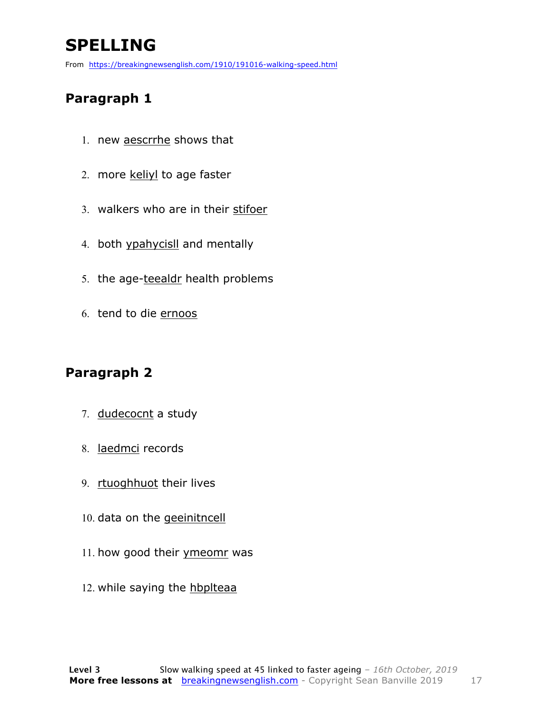### **SPELLING**

From https://breakingnewsenglish.com/1910/191016-walking-speed.html

#### **Paragraph 1**

- 1. new aescrrhe shows that
- 2. more keliyl to age faster
- 3. walkers who are in their stifoer
- 4. both ypahycisll and mentally
- 5. the age-teealdr health problems
- 6. tend to die ernoos

#### **Paragraph 2**

- 7. dudecocnt a study
- 8. laedmci records
- 9. rtuoghhuot their lives
- 10. data on the geeinitncell
- 11. how good their ymeomr was
- 12. while saying the hbplteaa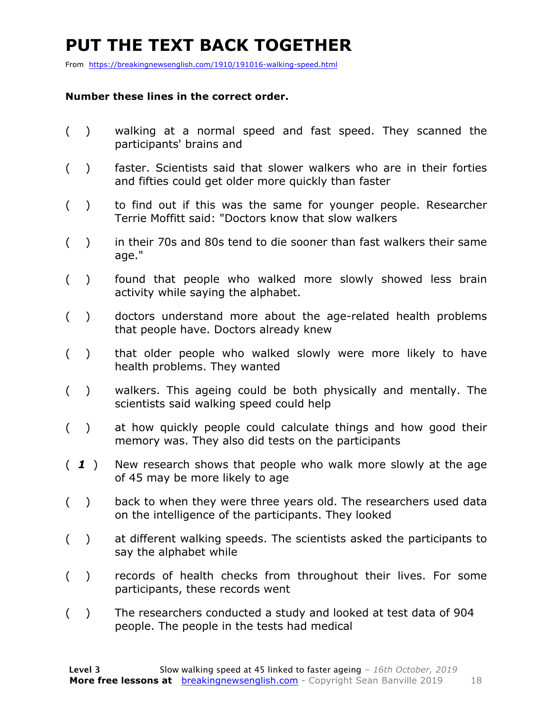### **PUT THE TEXT BACK TOGETHER**

From https://breakingnewsenglish.com/1910/191016-walking-speed.html

#### **Number these lines in the correct order.**

- ( ) walking at a normal speed and fast speed. They scanned the participants' brains and
- ( ) faster. Scientists said that slower walkers who are in their forties and fifties could get older more quickly than faster
- ( ) to find out if this was the same for younger people. Researcher Terrie Moffitt said: "Doctors know that slow walkers
- ( ) in their 70s and 80s tend to die sooner than fast walkers their same age."
- ( ) found that people who walked more slowly showed less brain activity while saying the alphabet.
- ( ) doctors understand more about the age-related health problems that people have. Doctors already knew
- ( ) that older people who walked slowly were more likely to have health problems. They wanted
- ( ) walkers. This ageing could be both physically and mentally. The scientists said walking speed could help
- ( ) at how quickly people could calculate things and how good their memory was. They also did tests on the participants
- ( *1* ) New research shows that people who walk more slowly at the age of 45 may be more likely to age
- ( ) back to when they were three years old. The researchers used data on the intelligence of the participants. They looked
- ( ) at different walking speeds. The scientists asked the participants to say the alphabet while
- ( ) records of health checks from throughout their lives. For some participants, these records went
- ( ) The researchers conducted a study and looked at test data of 904 people. The people in the tests had medical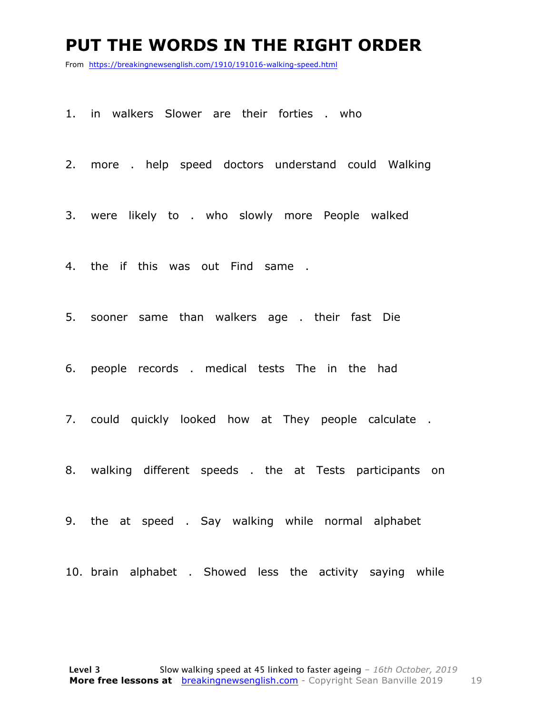#### **PUT THE WORDS IN THE RIGHT ORDER**

From https://breakingnewsenglish.com/1910/191016-walking-speed.html

1. in walkers Slower are their forties . who

2. more . help speed doctors understand could Walking

3. were likely to . who slowly more People walked

4. the if this was out Find same .

5. sooner same than walkers age . their fast Die

6. people records . medical tests The in the had

7. could quickly looked how at They people calculate .

8. walking different speeds . the at Tests participants on

9. the at speed . Say walking while normal alphabet

10. brain alphabet . Showed less the activity saying while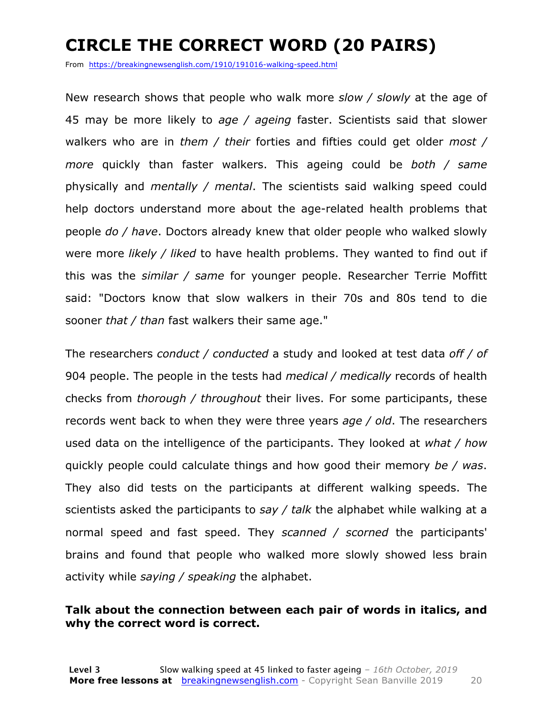### **CIRCLE THE CORRECT WORD (20 PAIRS)**

From https://breakingnewsenglish.com/1910/191016-walking-speed.html

New research shows that people who walk more *slow / slowly* at the age of 45 may be more likely to *age / ageing* faster. Scientists said that slower walkers who are in *them / their* forties and fifties could get older *most / more* quickly than faster walkers. This ageing could be *both / same* physically and *mentally / mental*. The scientists said walking speed could help doctors understand more about the age-related health problems that people *do / have*. Doctors already knew that older people who walked slowly were more *likely / liked* to have health problems. They wanted to find out if this was the *similar / same* for younger people. Researcher Terrie Moffitt said: "Doctors know that slow walkers in their 70s and 80s tend to die sooner *that / than* fast walkers their same age."

The researchers *conduct / conducted* a study and looked at test data *off / of* 904 people. The people in the tests had *medical / medically* records of health checks from *thorough / throughout* their lives. For some participants, these records went back to when they were three years *age / old*. The researchers used data on the intelligence of the participants. They looked at *what / how* quickly people could calculate things and how good their memory *be / was*. They also did tests on the participants at different walking speeds. The scientists asked the participants to *say / talk* the alphabet while walking at a normal speed and fast speed. They *scanned / scorned* the participants' brains and found that people who walked more slowly showed less brain activity while *saying / speaking* the alphabet.

#### **Talk about the connection between each pair of words in italics, and why the correct word is correct.**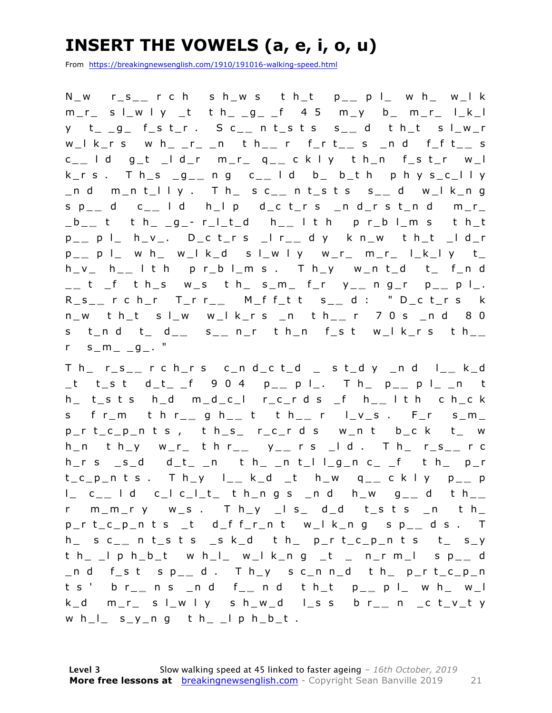### **INSERT THE VOWELS (a, e, i, o, u)**

From https://breakingnewsenglish.com/1910/191016-walking-speed.html

N\_w r\_s\_ **\_** r c h s h\_w s t h\_t p\_ **\_** p l\_ w h\_ w\_l k  $m_r$  s  $l_w$  l y t t  $h_{-}$  g  $f$  4 5  $m_v$  b  $m_r$  l  $k_l$ y t\_ \_g\_ f\_s t\_r . S c\_ **\_** n t\_s t s s\_ **\_** d t h\_t s l\_w\_r w\_l k\_r s w h\_ \_r\_ \_n t h\_ **\_** r f\_r t\_ **\_** s \_n d f\_f t\_ **\_** s c \_ **\_** l d g\_t \_l d\_r m\_r\_ q\_ **\_** c k l y t h\_n f\_s t\_r w\_l k\_r s . T h\_s \_g\_ **\_** n g c\_ **\_** l d b\_ b\_t h p h y s\_c\_l l y \_n d m\_n t\_l l y . T h\_ s c\_ **\_** n t\_s t s s\_ **\_** d w\_l k\_n g s p\_ **\_** d c\_ **\_** l d h\_l p d\_c t\_r s \_n d\_ r s t\_n d m\_r\_ \_b\_ **\_** t t h\_ \_g\_ - r\_l\_t\_d h\_ **\_** l t h p r\_b l\_m s t h\_t p \_ **\_** p l\_ h\_v\_. D\_c t\_r s \_l r\_ **\_** d y k n\_w t h\_t \_l d\_r p \_ **\_** p l\_ w h\_ w\_l k\_d s l\_w l y w\_r\_ m\_r\_ l\_k\_l y t\_ h\_v\_ h\_ **\_** l t h p r\_b l\_m s . T h\_y w\_n t\_d t\_ f\_n d \_ **\_** t \_f t h\_s w\_s t h\_ s\_m\_ f\_r y\_ **\_** n g\_r p\_ **\_** p l\_. R\_s\_ **\_** r c h\_r T\_r r\_ **\_** M\_f f\_t t s\_ **\_** d : " D\_c t\_r s k n\_w t h\_t s l\_w w\_l k\_r s \_n t h\_ **\_** r 7 0 s \_n d 8 0 s t\_n d t\_ d\_ **\_** s \_ **\_** n\_r t h\_n f\_ s t w\_l k\_r s t h\_ **\_**   $r = s_{m_1} - g_2$ . "

T h\_ r\_s\_ **\_** r c h\_r s c\_n d\_c t\_d \_ s t\_d y \_n d l\_ **\_** k\_d \_t t\_s t d\_t\_ \_f 9 0 4 p\_ **\_** p l\_. T h\_ p\_ **\_** p l\_ \_n t h\_ t\_s t s h\_d m\_d\_c\_l r\_c\_r d s \_f h\_ **\_** l t h c h\_c k s f r\_m t h r\_ **\_** g h\_ **\_** t t h\_ **\_** r l\_v\_s . F\_r s\_m\_  $p_r$  t\_c\_p\_n t s , t h\_s\_ r\_c\_r d s w\_n t b\_c k t\_ w h\_n t h\_y w\_r\_ t h r\_ **\_** y \_ **\_** r s \_l d . T h\_ r\_s\_ **\_** r c  $h_r s$   $_s_d$  d\_t\_ \_n t h\_ \_n t\_l l\_g\_n c\_ \_f t h\_ p\_r t\_c\_p\_n t s . T h\_y l\_ **\_** k\_d \_t h\_w q\_ **\_** c k l y p\_ **\_** p l\_ c\_ **\_** l d c\_l c\_l\_t\_ t h\_n g s \_n d h\_w g\_ **\_** d t h\_ **\_**   $r$  m\_m\_ry w\_s. Th\_y \_ls\_ d\_d t\_sts \_n th\_ p\_r t\_c\_p\_n t s \_t d\_f f\_r\_n t w\_l k\_n g s p\_ **\_** d s . T h\_ s c\_ **\_** n t\_s t s \_s k\_d t h\_ p\_r t\_c\_p\_n t s t\_ s\_y t h\_ \_l p h\_b\_t w h\_l\_ w\_l k\_n g \_t \_ n\_r m\_l s p\_ **\_** d \_n d f\_s t s p\_ **\_** d . T h\_y s c\_n n\_d t h\_ p\_r t\_c\_p\_n t s ' b r\_ **\_** n s \_n d f\_ **\_** n d t h\_t p\_ **\_** p l\_ w h\_ w\_l k\_d m\_r\_ s l\_w l y s h\_w \_d l\_s s b r\_ **\_** n \_c t\_v\_t y w  $h_l$  s\_y\_n g t  $h$  \_ l p  $h_l$  b\_t .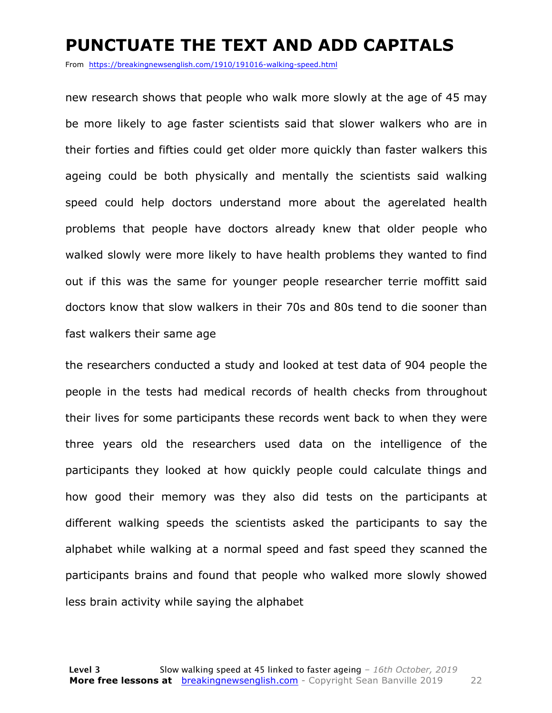#### **PUNCTUATE THE TEXT AND ADD CAPITALS**

From https://breakingnewsenglish.com/1910/191016-walking-speed.html

new research shows that people who walk more slowly at the age of 45 may be more likely to age faster scientists said that slower walkers who are in their forties and fifties could get older more quickly than faster walkers this ageing could be both physically and mentally the scientists said walking speed could help doctors understand more about the agerelated health problems that people have doctors already knew that older people who walked slowly were more likely to have health problems they wanted to find out if this was the same for younger people researcher terrie moffitt said doctors know that slow walkers in their 70s and 80s tend to die sooner than fast walkers their same age

the researchers conducted a study and looked at test data of 904 people the people in the tests had medical records of health checks from throughout their lives for some participants these records went back to when they were three years old the researchers used data on the intelligence of the participants they looked at how quickly people could calculate things and how good their memory was they also did tests on the participants at different walking speeds the scientists asked the participants to say the alphabet while walking at a normal speed and fast speed they scanned the participants brains and found that people who walked more slowly showed less brain activity while saying the alphabet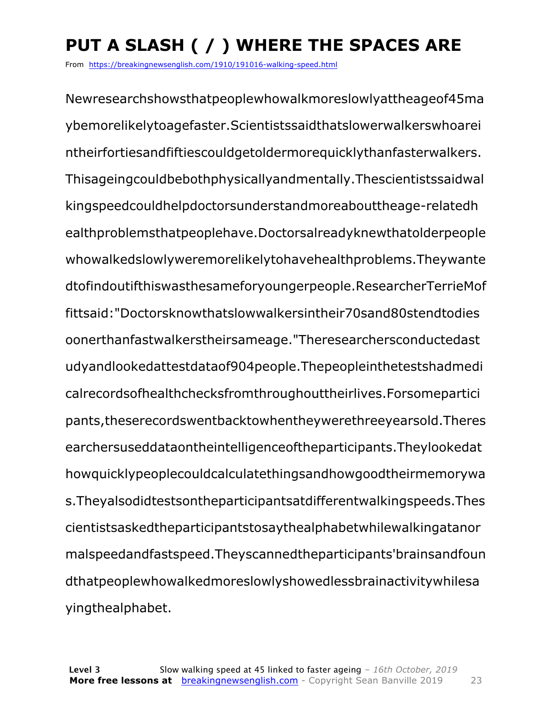## **PUT A SLASH ( / ) WHERE THE SPACES ARE**

From https://breakingnewsenglish.com/1910/191016-walking-speed.html

Newresearchshowsthatpeoplewhowalkmoreslowlyattheageof45ma ybemorelikelytoagefaster.Scientistssaidthatslowerwalkerswhoarei ntheirfortiesandfiftiescouldgetoldermorequicklythanfasterwalkers. Thisageingcouldbebothphysicallyandmentally.Thescientistssaidwal kingspeedcouldhelpdoctorsunderstandmoreabouttheage-relatedh ealthproblemsthatpeoplehave.Doctorsalreadyknewthatolderpeople whowalkedslowlyweremorelikelytohavehealthproblems.Theywante dtofindoutifthiswasthesameforyoungerpeople.ResearcherTerrieMof fittsaid:"Doctorsknowthatslowwalkersintheir70sand80stendtodies oonerthanfastwalkerstheirsameage."Theresearchersconductedast udyandlookedattestdataof904people.Thepeopleinthetestshadmedi calrecordsofhealthchecksfromthroughouttheirlives.Forsomepartici pants,theserecordswentbacktowhentheywerethreeyearsold.Theres earchersuseddataontheintelligenceoftheparticipants.Theylookedat howquicklypeoplecouldcalculatethingsandhowgoodtheirmemorywa s.Theyalsodidtestsontheparticipantsatdifferentwalkingspeeds.Thes cientistsaskedtheparticipantstosaythealphabetwhilewalkingatanor malspeedandfastspeed.Theyscannedtheparticipants'brainsandfoun dthatpeoplewhowalkedmoreslowlyshowedlessbrainactivitywhilesa yingthealphabet.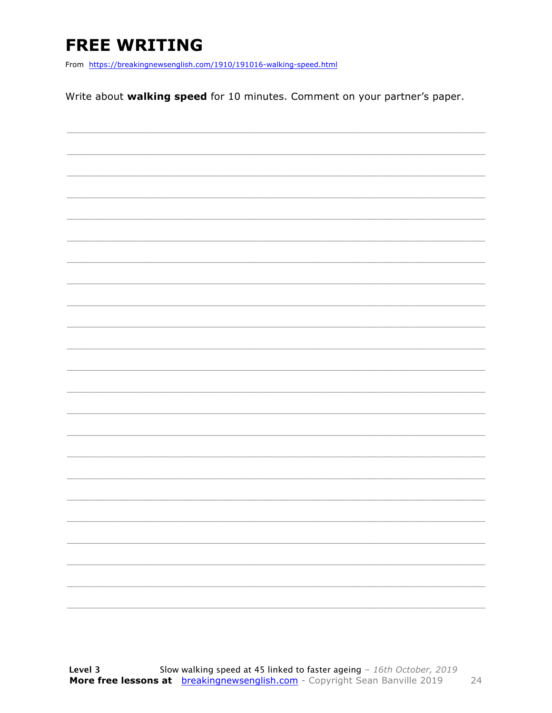### **FREE WRITING**

From https://breakingnewsenglish.com/1910/191016-walking-speed.html

Write about walking speed for 10 minutes. Comment on your partner's paper.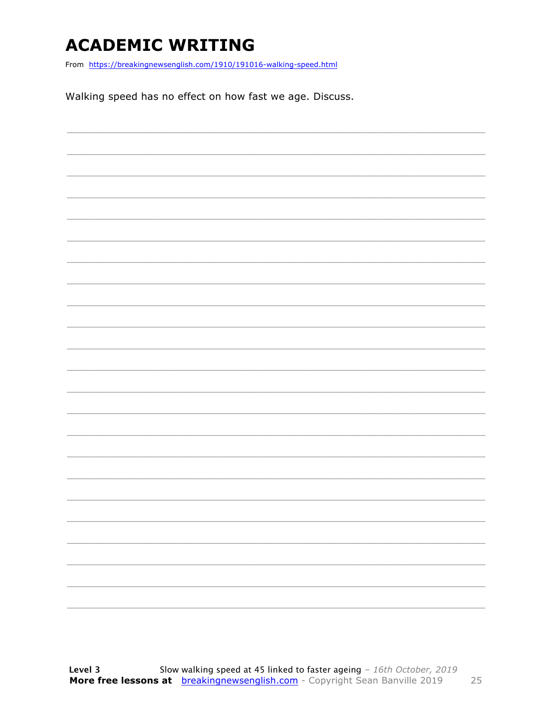### **ACADEMIC WRITING**

From https://breakingnewsenglish.com/1910/191016-walking-speed.html

Walking speed has no effect on how fast we age. Discuss.

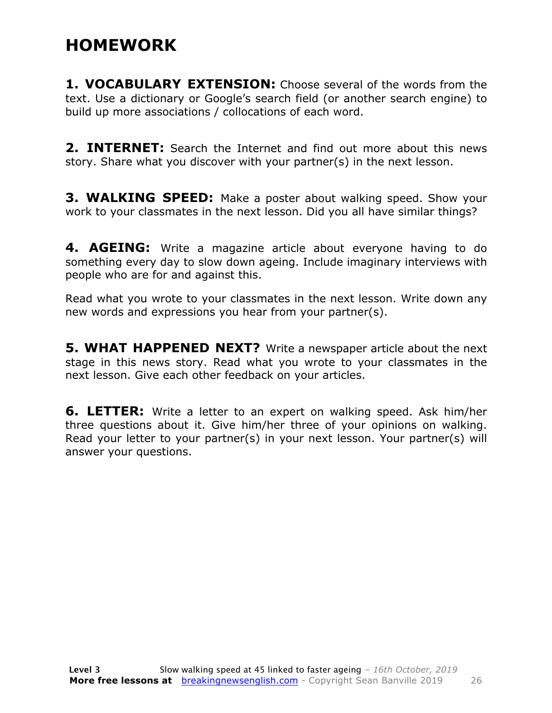#### **HOMEWORK**

**1. VOCABULARY EXTENSION:** Choose several of the words from the text. Use a dictionary or Google's search field (or another search engine) to build up more associations / collocations of each word.

**2. INTERNET:** Search the Internet and find out more about this news story. Share what you discover with your partner(s) in the next lesson.

**3. WALKING SPEED:** Make a poster about walking speed. Show your work to your classmates in the next lesson. Did you all have similar things?

**4. AGEING:** Write a magazine article about everyone having to do something every day to slow down ageing. Include imaginary interviews with people who are for and against this.

Read what you wrote to your classmates in the next lesson. Write down any new words and expressions you hear from your partner(s).

**5. WHAT HAPPENED NEXT?** Write a newspaper article about the next stage in this news story. Read what you wrote to your classmates in the next lesson. Give each other feedback on your articles.

**6. LETTER:** Write a letter to an expert on walking speed. Ask him/her three questions about it. Give him/her three of your opinions on walking. Read your letter to your partner(s) in your next lesson. Your partner(s) will answer your questions.